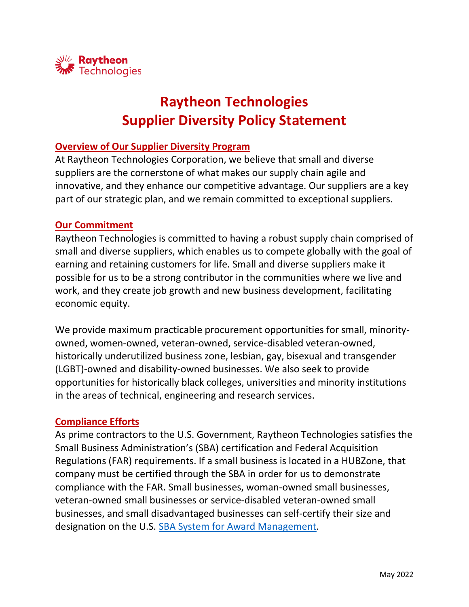

# **Raytheon Technologies Supplier Diversity Policy Statement**

### **Overview of Our Supplier Diversity Program**

At Raytheon Technologies Corporation, we believe that small and diverse suppliers are the cornerstone of what makes our supply chain agile and innovative, and they enhance our competitive advantage. Our suppliers are a key part of our strategic plan, and we remain committed to exceptional suppliers.

#### **Our Commitment**

Raytheon Technologies is committed to having a robust supply chain comprised of small and diverse suppliers, which enables us to compete globally with the goal of earning and retaining customers for life. Small and diverse suppliers make it possible for us to be a strong contributor in the communities where we live and work, and they create job growth and new business development, facilitating economic equity.

We provide maximum practicable procurement opportunities for small, minorityowned, women-owned, veteran-owned, service-disabled veteran-owned, historically underutilized business zone, lesbian, gay, bisexual and transgender (LGBT)-owned and disability-owned businesses. We also seek to provide opportunities for historically black colleges, universities and minority institutions in the areas of technical, engineering and research services.

#### **Compliance Efforts**

As prime contractors to the U.S. Government, Raytheon Technologies satisfies the Small Business Administration's (SBA) certification and Federal Acquisition Regulations (FAR) requirements. If a small business is located in a HUBZone, that company must be certified through the SBA in order for us to demonstrate compliance with the FAR. Small businesses, woman-owned small businesses, veteran-owned small businesses or service-disabled veteran-owned small businesses, and small disadvantaged businesses can self-certify their size and designation on the U.S. [SBA System for Award Management.](https://sam.gov/SAM)